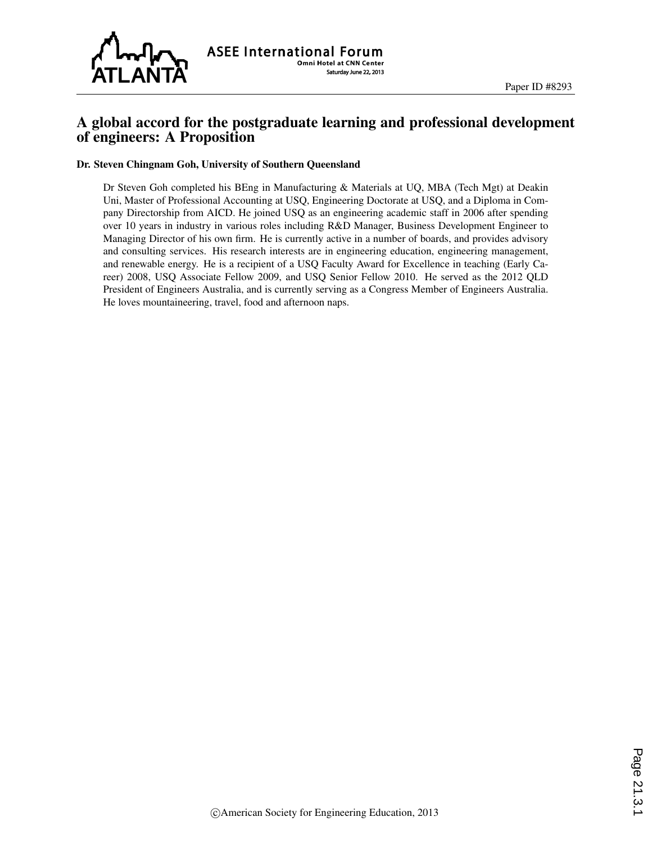

# A global accord for the postgraduate learning and professional development of engineers: A Proposition

#### Dr. Steven Chingnam Goh, University of Southern Queensland

Dr Steven Goh completed his BEng in Manufacturing & Materials at UQ, MBA (Tech Mgt) at Deakin Uni, Master of Professional Accounting at USQ, Engineering Doctorate at USQ, and a Diploma in Company Directorship from AICD. He joined USQ as an engineering academic staff in 2006 after spending over 10 years in industry in various roles including R&D Manager, Business Development Engineer to Managing Director of his own firm. He is currently active in a number of boards, and provides advisory and consulting services. His research interests are in engineering education, engineering management, and renewable energy. He is a recipient of a USQ Faculty Award for Excellence in teaching (Early Career) 2008, USQ Associate Fellow 2009, and USQ Senior Fellow 2010. He served as the 2012 QLD President of Engineers Australia, and is currently serving as a Congress Member of Engineers Australia. He loves mountaineering, travel, food and afternoon naps.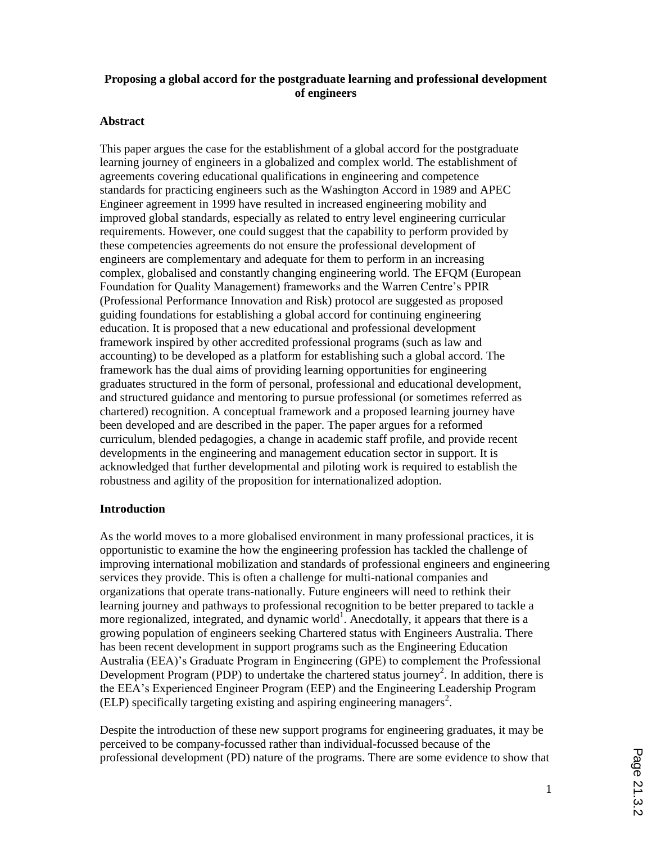## **Proposing a global accord for the postgraduate learning and professional development of engineers**

#### **Abstract**

This paper argues the case for the establishment of a global accord for the postgraduate learning journey of engineers in a globalized and complex world. The establishment of agreements covering educational qualifications in engineering and competence standards for practicing engineers such as the Washington Accord in 1989 and APEC Engineer agreement in 1999 have resulted in increased engineering mobility and improved global standards, especially as related to entry level engineering curricular requirements. However, one could suggest that the capability to perform provided by these competencies agreements do not ensure the professional development of engineers are complementary and adequate for them to perform in an increasing complex, globalised and constantly changing engineering world. The EFQM (European Foundation for Quality Management) frameworks and the Warren Centre's PPIR (Professional Performance Innovation and Risk) protocol are suggested as proposed guiding foundations for establishing a global accord for continuing engineering education. It is proposed that a new educational and professional development framework inspired by other accredited professional programs (such as law and accounting) to be developed as a platform for establishing such a global accord. The framework has the dual aims of providing learning opportunities for engineering graduates structured in the form of personal, professional and educational development, and structured guidance and mentoring to pursue professional (or sometimes referred as chartered) recognition. A conceptual framework and a proposed learning journey have been developed and are described in the paper. The paper argues for a reformed curriculum, blended pedagogies, a change in academic staff profile, and provide recent developments in the engineering and management education sector in support. It is acknowledged that further developmental and piloting work is required to establish the robustness and agility of the proposition for internationalized adoption.

#### **Introduction**

As the world moves to a more globalised environment in many professional practices, it is opportunistic to examine the how the engineering profession has tackled the challenge of improving international mobilization and standards of professional engineers and engineering services they provide. This is often a challenge for multi-national companies and organizations that operate trans-nationally. Future engineers will need to rethink their learning journey and pathways to professional recognition to be better prepared to tackle a more regionalized, integrated, and dynamic world<sup>1</sup>. Anecdotally, it appears that there is a growing population of engineers seeking Chartered status with Engineers Australia. There has been recent development in support programs such as the Engineering Education Australia (EEA)'s Graduate Program in Engineering (GPE) to complement the Professional Development Program (PDP) to undertake the chartered status journey<sup>2</sup>. In addition, there is the EEA's Experienced Engineer Program (EEP) and the Engineering Leadership Program (ELP) specifically targeting existing and aspiring engineering managers<sup>2</sup>.

Despite the introduction of these new support programs for engineering graduates, it may be perceived to be company-focussed rather than individual-focussed because of the professional development (PD) nature of the programs. There are some evidence to show that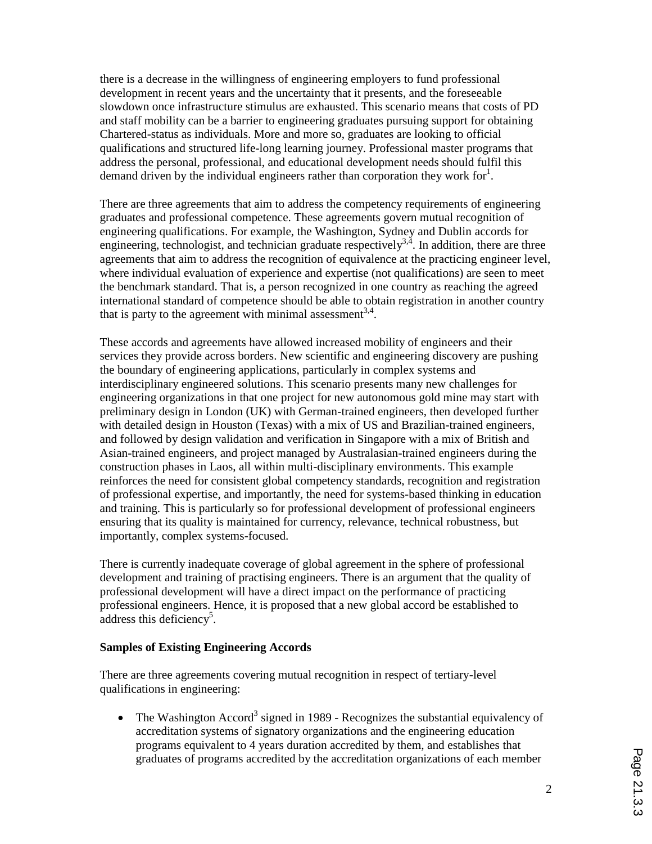there is a decrease in the willingness of engineering employers to fund professional development in recent years and the uncertainty that it presents, and the foreseeable slowdown once infrastructure stimulus are exhausted. This scenario means that costs of PD and staff mobility can be a barrier to engineering graduates pursuing support for obtaining Chartered-status as individuals. More and more so, graduates are looking to official qualifications and structured life-long learning journey. Professional master programs that address the personal, professional, and educational development needs should fulfil this demand driven by the individual engineers rather than corporation they work for  $\cdot$ .

There are three agreements that aim to address the competency requirements of engineering graduates and professional competence. These agreements govern mutual recognition of engineering qualifications. For example, the Washington, Sydney and Dublin accords for engineering, technologist, and technician graduate respectively<sup>3,4</sup>. In addition, there are three agreements that aim to address the recognition of equivalence at the practicing engineer level, where individual evaluation of experience and expertise (not qualifications) are seen to meet the benchmark standard. That is, a person recognized in one country as reaching the agreed international standard of competence should be able to obtain registration in another country that is party to the agreement with minimal assessment<sup>3,4</sup>.

These accords and agreements have allowed increased mobility of engineers and their services they provide across borders. New scientific and engineering discovery are pushing the boundary of engineering applications, particularly in complex systems and interdisciplinary engineered solutions. This scenario presents many new challenges for engineering organizations in that one project for new autonomous gold mine may start with preliminary design in London (UK) with German-trained engineers, then developed further with detailed design in Houston (Texas) with a mix of US and Brazilian-trained engineers, and followed by design validation and verification in Singapore with a mix of British and Asian-trained engineers, and project managed by Australasian-trained engineers during the construction phases in Laos, all within multi-disciplinary environments. This example reinforces the need for consistent global competency standards, recognition and registration of professional expertise, and importantly, the need for systems-based thinking in education and training. This is particularly so for professional development of professional engineers ensuring that its quality is maintained for currency, relevance, technical robustness, but importantly, complex systems-focused.

There is currently inadequate coverage of global agreement in the sphere of professional development and training of practising engineers. There is an argument that the quality of professional development will have a direct impact on the performance of practicing professional engineers. Hence, it is proposed that a new global accord be established to  $\alpha$  address this deficiency<sup>5</sup>.

#### **Samples of Existing Engineering Accords**

There are three agreements covering mutual recognition in respect of tertiary-level qualifications in engineering:

• The Washington Accord<sup>3</sup> signed in 1989 - Recognizes the substantial equivalency of accreditation systems of signatory organizations and the engineering education programs equivalent to 4 years duration accredited by them, and establishes that graduates of programs accredited by the accreditation organizations of each member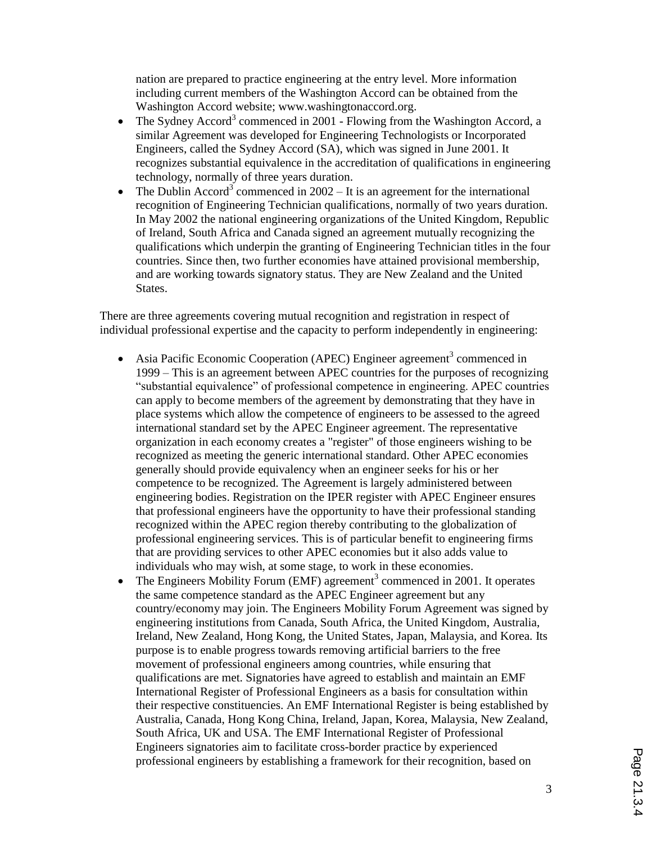nation are prepared to practice engineering at the entry level. More information including current members of the Washington Accord can be obtained from the Washington Accord website; www.washingtonaccord.org.

- The Sydney Accord<sup>3</sup> commenced in 2001 Flowing from the Washington Accord, a similar Agreement was developed for Engineering Technologists or Incorporated Engineers, called the Sydney Accord (SA), which was signed in June 2001. It recognizes substantial equivalence in the accreditation of qualifications in engineering technology, normally of three years duration.
- The Dublin Accord<sup>3</sup> commenced in  $2002 It$  is an agreement for the international recognition of Engineering Technician qualifications, normally of two years duration. In May 2002 the national engineering organizations of the United Kingdom, Republic of Ireland, South Africa and Canada signed an agreement mutually recognizing the qualifications which underpin the granting of Engineering Technician titles in the four countries. Since then, two further economies have attained provisional membership, and are working towards signatory status. They are New Zealand and the United States.

There are three agreements covering mutual recognition and registration in respect of individual professional expertise and the capacity to perform independently in engineering:

- Asia Pacific Economic Cooperation (APEC) Engineer agreement<sup>3</sup> commenced in 1999 – This is an agreement between APEC countries for the purposes of recognizing "substantial equivalence" of professional competence in engineering. APEC countries can apply to become members of the agreement by demonstrating that they have in place systems which allow the competence of engineers to be assessed to the agreed international standard set by the APEC Engineer agreement. The representative organization in each economy creates a "register" of those engineers wishing to be recognized as meeting the generic international standard. Other APEC economies generally should provide equivalency when an engineer seeks for his or her competence to be recognized. The Agreement is largely administered between engineering bodies. Registration on the IPER register with APEC Engineer ensures that professional engineers have the opportunity to have their professional standing recognized within the APEC region thereby contributing to the globalization of professional engineering services. This is of particular benefit to engineering firms that are providing services to other APEC economies but it also adds value to individuals who may wish, at some stage, to work in these economies.
- The Engineers Mobility Forum (EMF) agreement<sup>3</sup> commenced in 2001. It operates the same competence standard as the APEC Engineer agreement but any country/economy may join. The Engineers Mobility Forum Agreement was signed by engineering institutions from Canada, South Africa, the United Kingdom, Australia, Ireland, New Zealand, Hong Kong, the United States, Japan, Malaysia, and Korea. Its purpose is to enable progress towards removing artificial barriers to the free movement of professional engineers among countries, while ensuring that qualifications are met. Signatories have agreed to establish and maintain an EMF International Register of Professional Engineers as a basis for consultation within their respective constituencies. An EMF International Register is being established by Australia, Canada, Hong Kong China, Ireland, Japan, Korea, Malaysia, New Zealand, South Africa, UK and USA. The EMF International Register of Professional Engineers signatories aim to facilitate cross-border practice by experienced professional engineers by establishing a framework for their recognition, based on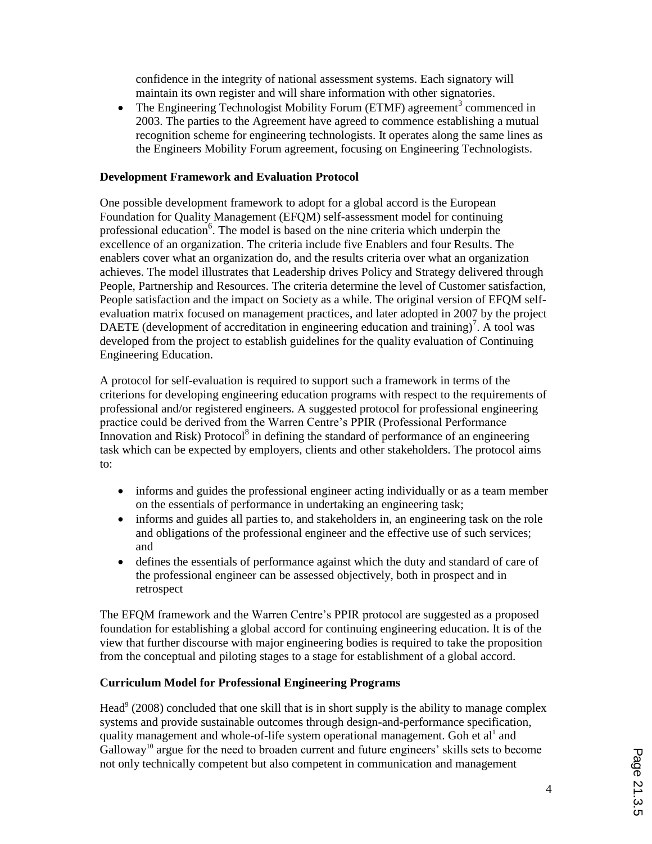confidence in the integrity of national assessment systems. Each signatory will maintain its own register and will share information with other signatories.

• The Engineering Technologist Mobility Forum (ETMF) agreement<sup>3</sup> commenced in 2003. The parties to the Agreement have agreed to commence establishing a mutual recognition scheme for engineering technologists. It operates along the same lines as the Engineers Mobility Forum agreement, focusing on Engineering Technologists.

## **Development Framework and Evaluation Protocol**

One possible development framework to adopt for a global accord is the European Foundation for Quality Management (EFQM) self-assessment model for continuing professional education<sup>6</sup>. The model is based on the nine criteria which underpin the excellence of an organization. The criteria include five Enablers and four Results. The enablers cover what an organization do, and the results criteria over what an organization achieves. The model illustrates that Leadership drives Policy and Strategy delivered through People, Partnership and Resources. The criteria determine the level of Customer satisfaction, People satisfaction and the impact on Society as a while. The original version of EFQM selfevaluation matrix focused on management practices, and later adopted in 2007 by the project DAETE (development of accreditation in engineering education and training)<sup>7</sup>. A tool was developed from the project to establish guidelines for the quality evaluation of Continuing Engineering Education.

A protocol for self-evaluation is required to support such a framework in terms of the criterions for developing engineering education programs with respect to the requirements of professional and/or registered engineers. A suggested protocol for professional engineering practice could be derived from the Warren Centre's PPIR (Professional Performance Innovation and Risk) Protocol<sup>8</sup> in defining the standard of performance of an engineering task which can be expected by employers, clients and other stakeholders. The protocol aims to:

- informs and guides the professional engineer acting individually or as a team member on the essentials of performance in undertaking an engineering task;
- informs and guides all parties to, and stakeholders in, an engineering task on the role and obligations of the professional engineer and the effective use of such services; and
- defines the essentials of performance against which the duty and standard of care of the professional engineer can be assessed objectively, both in prospect and in retrospect

The EFQM framework and the Warren Centre's PPIR protocol are suggested as a proposed foundation for establishing a global accord for continuing engineering education. It is of the view that further discourse with major engineering bodies is required to take the proposition from the conceptual and piloting stages to a stage for establishment of a global accord.

# **Curriculum Model for Professional Engineering Programs**

Head<sup>9</sup> (2008) concluded that one skill that is in short supply is the ability to manage complex systems and provide sustainable outcomes through design-and-performance specification, quality management and whole-of-life system operational management. Goh et al<sup>1</sup> and Galloway<sup>10</sup> argue for the need to broaden current and future engineers' skills sets to become not only technically competent but also competent in communication and management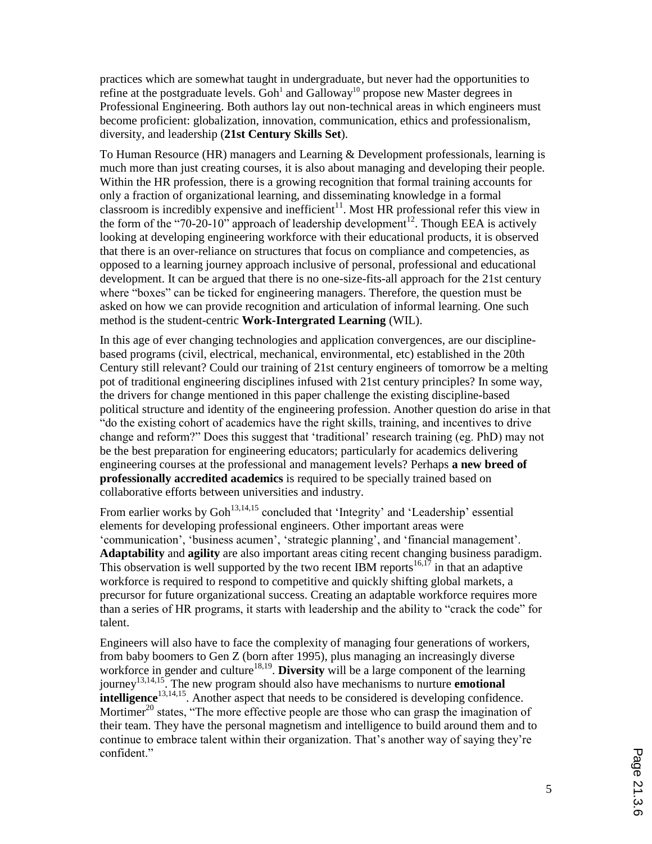practices which are somewhat taught in undergraduate, but never had the opportunities to refine at the postgraduate levels.  $Goh<sup>1</sup>$  and  $Galloway<sup>10</sup>$  propose new Master degrees in Professional Engineering. Both authors lay out non-technical areas in which engineers must become proficient: globalization, innovation, communication, ethics and professionalism, diversity, and leadership (**21st Century Skills Set**).

To Human Resource (HR) managers and Learning & Development professionals, learning is much more than just creating courses, it is also about managing and developing their people. Within the HR profession, there is a growing recognition that formal training accounts for only a fraction of organizational learning, and disseminating knowledge in a formal classroom is incredibly expensive and inefficient<sup>11</sup>. Most HR professional refer this view in the form of the "70-20-10" approach of leadership development<sup>12</sup>. Though EEA is actively looking at developing engineering workforce with their educational products, it is observed that there is an over-reliance on structures that focus on compliance and competencies, as opposed to a learning journey approach inclusive of personal, professional and educational development. It can be argued that there is no one-size-fits-all approach for the 21st century where "boxes" can be ticked for engineering managers. Therefore, the question must be asked on how we can provide recognition and articulation of informal learning. One such method is the student-centric **Work-Intergrated Learning** (WIL).

In this age of ever changing technologies and application convergences, are our disciplinebased programs (civil, electrical, mechanical, environmental, etc) established in the 20th Century still relevant? Could our training of 21st century engineers of tomorrow be a melting pot of traditional engineering disciplines infused with 21st century principles? In some way, the drivers for change mentioned in this paper challenge the existing discipline-based political structure and identity of the engineering profession. Another question do arise in that "do the existing cohort of academics have the right skills, training, and incentives to drive change and reform?" Does this suggest that 'traditional' research training (eg. PhD) may not be the best preparation for engineering educators; particularly for academics delivering engineering courses at the professional and management levels? Perhaps **a new breed of professionally accredited academics** is required to be specially trained based on collaborative efforts between universities and industry.

From earlier works by  $Goh<sup>13,14,15</sup>$  concluded that 'Integrity' and 'Leadership' essential elements for developing professional engineers. Other important areas were 'communication', 'business acumen', 'strategic planning', and 'financial management'. **Adaptability** and **agility** are also important areas citing recent changing business paradigm. This observation is well supported by the two recent IBM reports  $16,17$  in that an adaptive workforce is required to respond to competitive and quickly shifting global markets, a precursor for future organizational success. Creating an adaptable workforce requires more than a series of HR programs, it starts with leadership and the ability to "crack the code" for talent.

Engineers will also have to face the complexity of managing four generations of workers, from baby boomers to Gen Z (born after 1995), plus managing an increasingly diverse workforce in gender and culture<sup>18,19</sup>. Diversity will be a large component of the learning journey13,14,15. The new program should also have mechanisms to nurture **emotional intelligence**<sup>13,14,15</sup>. Another aspect that needs to be considered is developing confidence. Mortimer<sup>20</sup> states, "The more effective people are those who can grasp the imagination of their team. They have the personal magnetism and intelligence to build around them and to continue to embrace talent within their organization. That's another way of saying they're confident."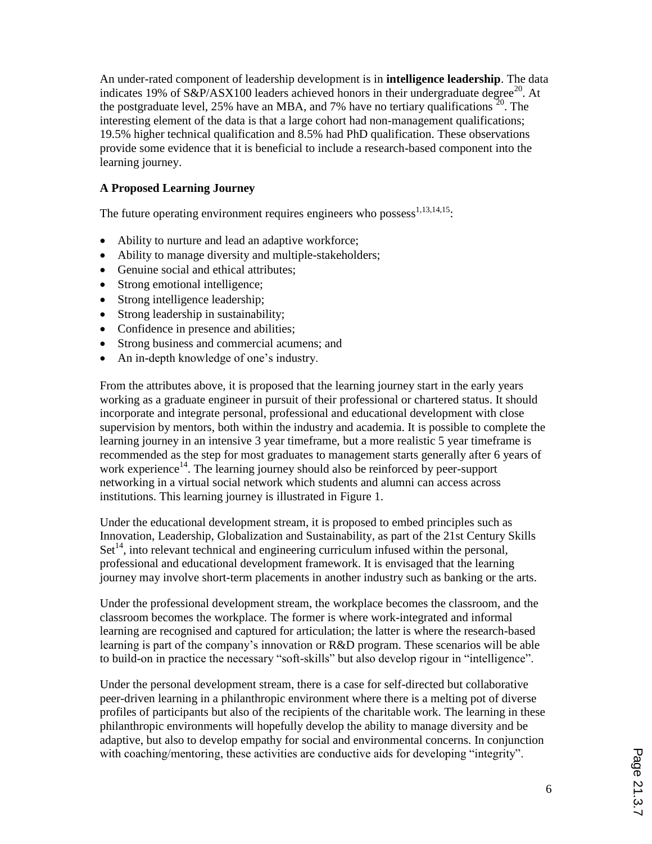An under-rated component of leadership development is in **intelligence leadership**. The data indicates 19% of  $S\&P/ASX100$  leaders achieved honors in their undergraduate degree<sup>20</sup>. At the postgraduate level, 25% have an MBA, and 7% have no tertiary qualifications  $\frac{1}{20}$ . The interesting element of the data is that a large cohort had non-management qualifications; 19.5% higher technical qualification and 8.5% had PhD qualification. These observations provide some evidence that it is beneficial to include a research-based component into the learning journey.

# **A Proposed Learning Journey**

The future operating environment requires engineers who possess $1,13,14,15$ .

- Ability to nurture and lead an adaptive workforce;
- Ability to manage diversity and multiple-stakeholders;
- Genuine social and ethical attributes;
- Strong emotional intelligence;
- Strong intelligence leadership;
- Strong leadership in sustainability;
- Confidence in presence and abilities;
- Strong business and commercial acumens; and
- An in-depth knowledge of one's industry.

From the attributes above, it is proposed that the learning journey start in the early years working as a graduate engineer in pursuit of their professional or chartered status. It should incorporate and integrate personal, professional and educational development with close supervision by mentors, both within the industry and academia. It is possible to complete the learning journey in an intensive 3 year timeframe, but a more realistic 5 year timeframe is recommended as the step for most graduates to management starts generally after 6 years of work experience<sup>14</sup>. The learning journey should also be reinforced by peer-support networking in a virtual social network which students and alumni can access across institutions. This learning journey is illustrated in Figure 1.

Under the educational development stream, it is proposed to embed principles such as Innovation, Leadership, Globalization and Sustainability, as part of the 21st Century Skills Set<sup>14</sup>, into relevant technical and engineering curriculum infused within the personal, professional and educational development framework. It is envisaged that the learning journey may involve short-term placements in another industry such as banking or the arts.

Under the professional development stream, the workplace becomes the classroom, and the classroom becomes the workplace. The former is where work-integrated and informal learning are recognised and captured for articulation; the latter is where the research-based learning is part of the company's innovation or R&D program. These scenarios will be able to build-on in practice the necessary "soft-skills" but also develop rigour in "intelligence".

Under the personal development stream, there is a case for self-directed but collaborative peer-driven learning in a philanthropic environment where there is a melting pot of diverse profiles of participants but also of the recipients of the charitable work. The learning in these philanthropic environments will hopefully develop the ability to manage diversity and be adaptive, but also to develop empathy for social and environmental concerns. In conjunction with coaching/mentoring, these activities are conductive aids for developing "integrity".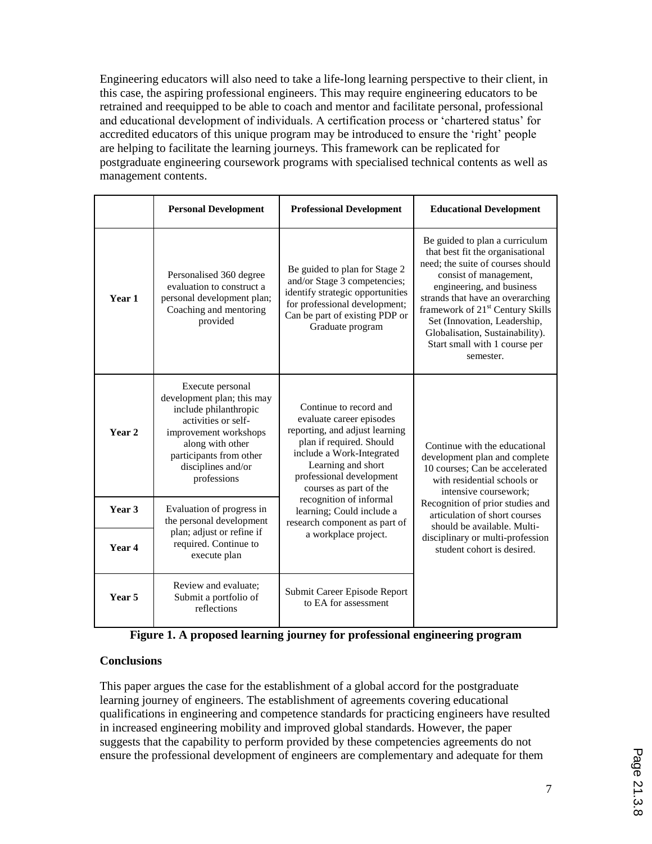Engineering educators will also need to take a life-long learning perspective to their client, in this case, the aspiring professional engineers. This may require engineering educators to be retrained and reequipped to be able to coach and mentor and facilitate personal, professional and educational development of individuals. A certification process or 'chartered status' for accredited educators of this unique program may be introduced to ensure the 'right' people are helping to facilitate the learning journeys. This framework can be replicated for postgraduate engineering coursework programs with specialised technical contents as well as management contents.

|                   | <b>Personal Development</b>                                                                                                                                                                                 | <b>Professional Development</b>                                                                                                                                                                                           | <b>Educational Development</b>                                                                                                                                                                                                                                                                                                                                      |
|-------------------|-------------------------------------------------------------------------------------------------------------------------------------------------------------------------------------------------------------|---------------------------------------------------------------------------------------------------------------------------------------------------------------------------------------------------------------------------|---------------------------------------------------------------------------------------------------------------------------------------------------------------------------------------------------------------------------------------------------------------------------------------------------------------------------------------------------------------------|
| Year 1            | Personalised 360 degree<br>evaluation to construct a<br>personal development plan;<br>Coaching and mentoring<br>provided                                                                                    | Be guided to plan for Stage 2<br>and/or Stage 3 competencies;<br>identify strategic opportunities<br>for professional development;<br>Can be part of existing PDP or<br>Graduate program                                  | Be guided to plan a curriculum<br>that best fit the organisational<br>need; the suite of courses should<br>consist of management,<br>engineering, and business<br>strands that have an overarching<br>framework of 21 <sup>st</sup> Century Skills<br>Set (Innovation, Leadership,<br>Globalisation, Sustainability).<br>Start small with 1 course per<br>semester. |
| Year <sub>2</sub> | Execute personal<br>development plan; this may<br>include philanthropic<br>activities or self-<br>improvement workshops<br>along with other<br>participants from other<br>disciplines and/or<br>professions | Continue to record and<br>evaluate career episodes<br>reporting, and adjust learning<br>plan if required. Should<br>include a Work-Integrated<br>Learning and short<br>professional development<br>courses as part of the | Continue with the educational<br>development plan and complete<br>10 courses; Can be accelerated<br>with residential schools or<br>intensive coursework;<br>Recognition of prior studies and<br>articulation of short courses<br>should be available. Multi-<br>disciplinary or multi-profession<br>student cohort is desired.                                      |
| Year 3            | Evaluation of progress in<br>the personal development                                                                                                                                                       | recognition of informal<br>learning; Could include a<br>research component as part of                                                                                                                                     |                                                                                                                                                                                                                                                                                                                                                                     |
| Year 4            | plan; adjust or refine if<br>required. Continue to<br>execute plan                                                                                                                                          | a workplace project.                                                                                                                                                                                                      |                                                                                                                                                                                                                                                                                                                                                                     |
| Year 5            | Review and evaluate;<br>Submit a portfolio of<br>reflections                                                                                                                                                | Submit Career Episode Report<br>to EA for assessment                                                                                                                                                                      |                                                                                                                                                                                                                                                                                                                                                                     |

|  |  | Figure 1. A proposed learning journey for professional engineering program |
|--|--|----------------------------------------------------------------------------|
|  |  |                                                                            |

# **Conclusions**

This paper argues the case for the establishment of a global accord for the postgraduate learning journey of engineers. The establishment of agreements covering educational qualifications in engineering and competence standards for practicing engineers have resulted in increased engineering mobility and improved global standards. However, the paper suggests that the capability to perform provided by these competencies agreements do not ensure the professional development of engineers are complementary and adequate for them